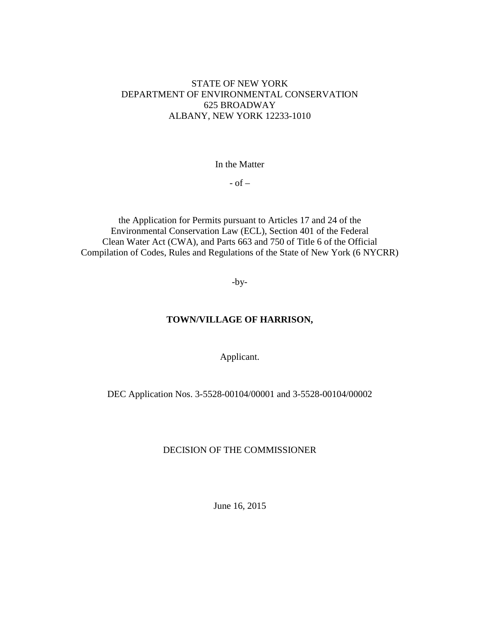### STATE OF NEW YORK DEPARTMENT OF ENVIRONMENTAL CONSERVATION 625 BROADWAY ALBANY, NEW YORK 12233-1010

In the Matter

 $-$  of  $-$ 

the Application for Permits pursuant to Articles 17 and 24 of the Environmental Conservation Law (ECL), Section 401 of the Federal Clean Water Act (CWA), and Parts 663 and 750 of Title 6 of the Official Compilation of Codes, Rules and Regulations of the State of New York (6 NYCRR)

-by-

# **TOWN/VILLAGE OF HARRISON,**

Applicant.

DEC Application Nos. 3-5528-00104/00001 and 3-5528-00104/00002

### DECISION OF THE COMMISSIONER

June 16, 2015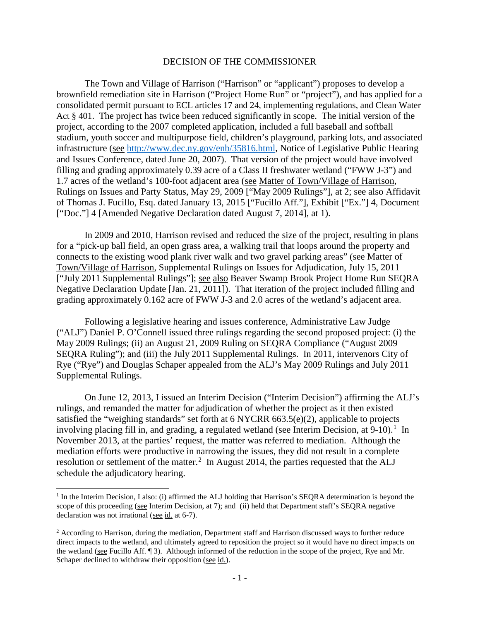#### DECISION OF THE COMMISSIONER

The Town and Village of Harrison ("Harrison" or "applicant") proposes to develop a brownfield remediation site in Harrison ("Project Home Run" or "project"), and has applied for a consolidated permit pursuant to ECL articles 17 and 24, implementing regulations, and Clean Water Act § 401. The project has twice been reduced significantly in scope. The initial version of the project, according to the 2007 completed application, included a full baseball and softball stadium, youth soccer and multipurpose field, children's playground, parking lots, and associated infrastructure (see [http://www.dec.ny.gov/enb/35816.html,](http://www.dec.ny.gov/enb/35816.html) Notice of Legislative Public Hearing and Issues Conference, dated June 20, 2007). That version of the project would have involved filling and grading approximately 0.39 acre of a Class II freshwater wetland ("FWW J-3") and 1.7 acres of the wetland's 100-foot adjacent area (see Matter of Town/Village of Harrison, Rulings on Issues and Party Status, May 29, 2009 ["May 2009 Rulings"], at 2; see also Affidavit of Thomas J. Fucillo, Esq. dated January 13, 2015 ["Fucillo Aff."], Exhibit ["Ex."] 4, Document ["Doc."] 4 [Amended Negative Declaration dated August 7, 2014], at 1).

In 2009 and 2010, Harrison revised and reduced the size of the project, resulting in plans for a "pick-up ball field, an open grass area, a walking trail that loops around the property and connects to the existing wood plank river walk and two gravel parking areas" (see Matter of Town/Village of Harrison, Supplemental Rulings on Issues for Adjudication, July 15, 2011 ["July 2011 Supplemental Rulings"]; see also Beaver Swamp Brook Project Home Run SEQRA Negative Declaration Update [Jan. 21, 2011]). That iteration of the project included filling and grading approximately 0.162 acre of FWW J-3 and 2.0 acres of the wetland's adjacent area.

Following a legislative hearing and issues conference, Administrative Law Judge ("ALJ") Daniel P. O'Connell issued three rulings regarding the second proposed project: (i) the May 2009 Rulings; (ii) an August 21, 2009 Ruling on SEQRA Compliance ("August 2009 SEQRA Ruling"); and (iii) the July 2011 Supplemental Rulings. In 2011, intervenors City of Rye ("Rye") and Douglas Schaper appealed from the ALJ's May 2009 Rulings and July 2011 Supplemental Rulings.

On June 12, 2013, I issued an Interim Decision ("Interim Decision") affirming the ALJ's rulings, and remanded the matter for adjudication of whether the project as it then existed satisfied the "weighing standards" set forth at 6 NYCRR 663.5(e)(2), applicable to projects involving placing fill in, and grading, a regulated wetland (see Interim Decision, at  $9-10$  $9-10$  $9-10$ ).<sup>1</sup> In November 2013, at the parties' request, the matter was referred to mediation. Although the mediation efforts were productive in narrowing the issues, they did not result in a complete resolution or settlement of the matter.<sup>[2](#page-1-1)</sup> In August 2014, the parties requested that the ALJ schedule the adjudicatory hearing.

 $\overline{a}$ 

<span id="page-1-0"></span> $1$  In the Interim Decision, I also: (i) affirmed the ALJ holding that Harrison's SEORA determination is beyond the scope of this proceeding (see Interim Decision, at 7); and (ii) held that Department staff's SEQRA negative declaration was not irrational (see id. at 6-7).

<span id="page-1-1"></span><sup>&</sup>lt;sup>2</sup> According to Harrison, during the mediation, Department staff and Harrison discussed ways to further reduce direct impacts to the wetland, and ultimately agreed to reposition the project so it would have no direct impacts on the wetland (see Fucillo Aff. ¶ 3). Although informed of the reduction in the scope of the project, Rye and Mr. Schaper declined to withdraw their opposition (see id.).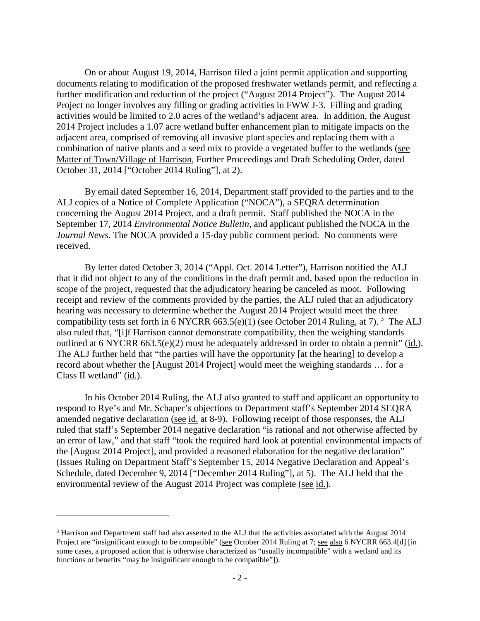On or about August 19, 2014, Harrison filed a joint permit application and supporting documents relating to modification of the proposed freshwater wetlands permit, and reflecting a further modification and reduction of the project ("August 2014 Project"). The August 2014 Project no longer involves any filling or grading activities in FWW J-3. Filling and grading activities would be limited to 2.0 acres of the wetland's adjacent area. In addition, the August 2014 Project includes a 1.07 acre wetland buffer enhancement plan to mitigate impacts on the adjacent area, comprised of removing all invasive plant species and replacing them with a combination of native plants and a seed mix to provide a vegetated buffer to the wetlands (see Matter of Town/Village of Harrison, Further Proceedings and Draft Scheduling Order, dated October 31, 2014 ["October 2014 Ruling"], at 2).

By email dated September 16, 2014, Department staff provided to the parties and to the ALJ copies of a Notice of Complete Application ("NOCA"), a SEQRA determination concerning the August 2014 Project, and a draft permit. Staff published the NOCA in the September 17, 2014 *Environmental Notice Bulletin*, and applicant published the NOCA in the *Journal News*. The NOCA provided a 15-day public comment period. No comments were received.

By letter dated October 3, 2014 ("Appl. Oct. 2014 Letter"), Harrison notified the ALJ that it did not object to any of the conditions in the draft permit and, based upon the reduction in scope of the project, requested that the adjudicatory hearing be canceled as moot. Following receipt and review of the comments provided by the parties, the ALJ ruled that an adjudicatory hearing was necessary to determine whether the August 2014 Project would meet the three compatibility tests set forth in 6 NYCRR 66[3](#page-2-0).5(e)(1) (see October 2014 Ruling, at 7). <sup>3</sup> The ALJ also ruled that, "[i]f Harrison cannot demonstrate compatibility, then the weighing standards outlined at 6 NYCRR 663.5(e)(2) must be adequately addressed in order to obtain a permit" (id.). The ALJ further held that "the parties will have the opportunity [at the hearing] to develop a record about whether the [August 2014 Project] would meet the weighing standards … for a Class II wetland" (id.).

In his October 2014 Ruling, the ALJ also granted to staff and applicant an opportunity to respond to Rye's and Mr. Schaper's objections to Department staff's September 2014 SEQRA amended negative declaration (see id. at 8-9). Following receipt of those responses, the ALJ ruled that staff's September 2014 negative declaration "is rational and not otherwise affected by an error of law," and that staff "took the required hard look at potential environmental impacts of the [August 2014 Project], and provided a reasoned elaboration for the negative declaration" (Issues Ruling on Department Staff's September 15, 2014 Negative Declaration and Appeal's Schedule, dated December 9, 2014 ["December 2014 Ruling"], at 5). The ALJ held that the environmental review of the August 2014 Project was complete (see id.).

 $\ddot{\phantom{a}}$ 

<span id="page-2-0"></span><sup>3</sup> Harrison and Department staff had also asserted to the ALJ that the activities associated with the August 2014 Project are "insignificant enough to be compatible" (see October 2014 Ruling at 7; see also 6 NYCRR 663.4[d] [in some cases, a proposed action that is otherwise characterized as "usually incompatible" with a wetland and its functions or benefits "may be insignificant enough to be compatible"]).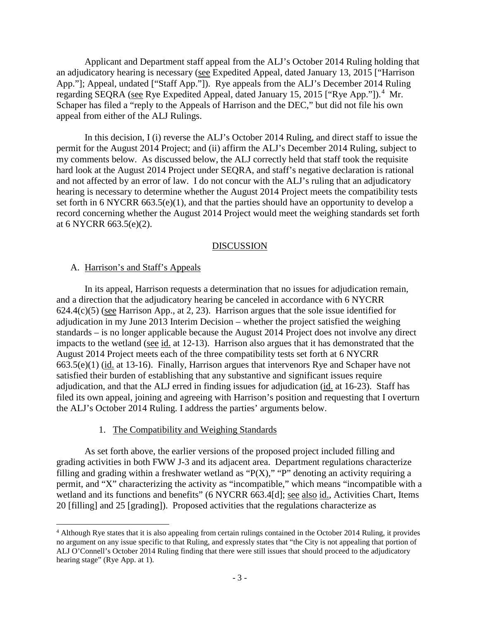Applicant and Department staff appeal from the ALJ's October 2014 Ruling holding that an adjudicatory hearing is necessary (see Expedited Appeal, dated January 13, 2015 ["Harrison App."]; Appeal, undated ["Staff App."]). Rye appeals from the ALJ's December 2014 Ruling regarding SEQRA (see Rye Expedited Appeal, dated January 15, 2015 ["Rye App."]).<sup>[4](#page-3-0)</sup> Mr. Schaper has filed a "reply to the Appeals of Harrison and the DEC," but did not file his own appeal from either of the ALJ Rulings.

In this decision, I (i) reverse the ALJ's October 2014 Ruling, and direct staff to issue the permit for the August 2014 Project; and (ii) affirm the ALJ's December 2014 Ruling, subject to my comments below. As discussed below, the ALJ correctly held that staff took the requisite hard look at the August 2014 Project under SEQRA, and staff's negative declaration is rational and not affected by an error of law. I do not concur with the ALJ's ruling that an adjudicatory hearing is necessary to determine whether the August 2014 Project meets the compatibility tests set forth in 6 NYCRR 663.5(e)(1), and that the parties should have an opportunity to develop a record concerning whether the August 2014 Project would meet the weighing standards set forth at 6 NYCRR 663.5(e)(2).

#### DISCUSSION

#### A. Harrison's and Staff's Appeals

 $\overline{a}$ 

In its appeal, Harrison requests a determination that no issues for adjudication remain, and a direction that the adjudicatory hearing be canceled in accordance with 6 NYCRR  $624.4(c)(5)$  (see Harrison App., at 2, 23). Harrison argues that the sole issue identified for adjudication in my June 2013 Interim Decision – whether the project satisfied the weighing standards – is no longer applicable because the August 2014 Project does not involve any direct impacts to the wetland (see id. at 12-13). Harrison also argues that it has demonstrated that the August 2014 Project meets each of the three compatibility tests set forth at 6 NYCRR 663.5(e)(1) (id. at 13-16). Finally, Harrison argues that intervenors Rye and Schaper have not satisfied their burden of establishing that any substantive and significant issues require adjudication, and that the ALJ erred in finding issues for adjudication (id. at 16-23). Staff has filed its own appeal, joining and agreeing with Harrison's position and requesting that I overturn the ALJ's October 2014 Ruling. I address the parties' arguments below.

#### 1. The Compatibility and Weighing Standards

As set forth above, the earlier versions of the proposed project included filling and grading activities in both FWW J-3 and its adjacent area. Department regulations characterize filling and grading within a freshwater wetland as " $P(X)$ ," "P" denoting an activity requiring a permit, and "X" characterizing the activity as "incompatible," which means "incompatible with a wetland and its functions and benefits" (6 NYCRR 663.4[d]; see also id., Activities Chart, Items 20 [filling] and 25 [grading]). Proposed activities that the regulations characterize as

<span id="page-3-0"></span><sup>4</sup> Although Rye states that it is also appealing from certain rulings contained in the October 2014 Ruling, it provides no argument on any issue specific to that Ruling, and expressly states that "the City is not appealing that portion of ALJ O'Connell's October 2014 Ruling finding that there were still issues that should proceed to the adjudicatory hearing stage" (Rye App. at 1).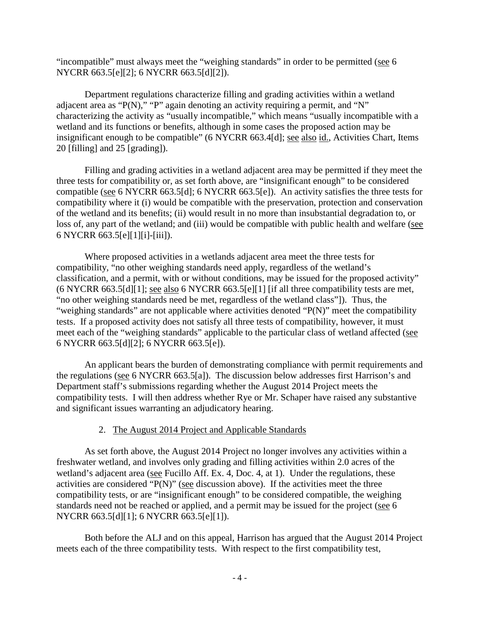"incompatible" must always meet the "weighing standards" in order to be permitted (see 6 NYCRR 663.5[e][2]; 6 NYCRR 663.5[d][2]).

Department regulations characterize filling and grading activities within a wetland adjacent area as "P(N)," "P" again denoting an activity requiring a permit, and "N" characterizing the activity as "usually incompatible," which means "usually incompatible with a wetland and its functions or benefits, although in some cases the proposed action may be insignificant enough to be compatible" (6 NYCRR 663.4[d]; see also id., Activities Chart, Items 20 [filling] and 25 [grading]).

Filling and grading activities in a wetland adjacent area may be permitted if they meet the three tests for compatibility or, as set forth above, are "insignificant enough" to be considered compatible (see 6 NYCRR 663.5[d]; 6 NYCRR 663.5[e]). An activity satisfies the three tests for compatibility where it (i) would be compatible with the preservation, protection and conservation of the wetland and its benefits; (ii) would result in no more than insubstantial degradation to, or loss of, any part of the wetland; and (iii) would be compatible with public health and welfare (see 6 NYCRR 663.5[e][1][i]-[iii]).

Where proposed activities in a wetlands adjacent area meet the three tests for compatibility, "no other weighing standards need apply, regardless of the wetland's classification, and a permit, with or without conditions, may be issued for the proposed activity" (6 NYCRR 663.5[d][1]; see also 6 NYCRR 663.5[e][1] [if all three compatibility tests are met, "no other weighing standards need be met, regardless of the wetland class"]). Thus, the "weighing standards" are not applicable where activities denoted "P(N)" meet the compatibility tests. If a proposed activity does not satisfy all three tests of compatibility, however, it must meet each of the "weighing standards" applicable to the particular class of wetland affected (see 6 NYCRR 663.5[d][2]; 6 NYCRR 663.5[e]).

An applicant bears the burden of demonstrating compliance with permit requirements and the regulations (see 6 NYCRR 663.5[a]). The discussion below addresses first Harrison's and Department staff's submissions regarding whether the August 2014 Project meets the compatibility tests. I will then address whether Rye or Mr. Schaper have raised any substantive and significant issues warranting an adjudicatory hearing.

# 2. The August 2014 Project and Applicable Standards

As set forth above, the August 2014 Project no longer involves any activities within a freshwater wetland, and involves only grading and filling activities within 2.0 acres of the wetland's adjacent area (see Fucillo Aff. Ex. 4, Doc. 4, at 1). Under the regulations, these activities are considered "P(N)" (see discussion above). If the activities meet the three compatibility tests, or are "insignificant enough" to be considered compatible, the weighing standards need not be reached or applied, and a permit may be issued for the project (see 6 NYCRR 663.5[d][1]; 6 NYCRR 663.5[e][1]).

Both before the ALJ and on this appeal, Harrison has argued that the August 2014 Project meets each of the three compatibility tests. With respect to the first compatibility test,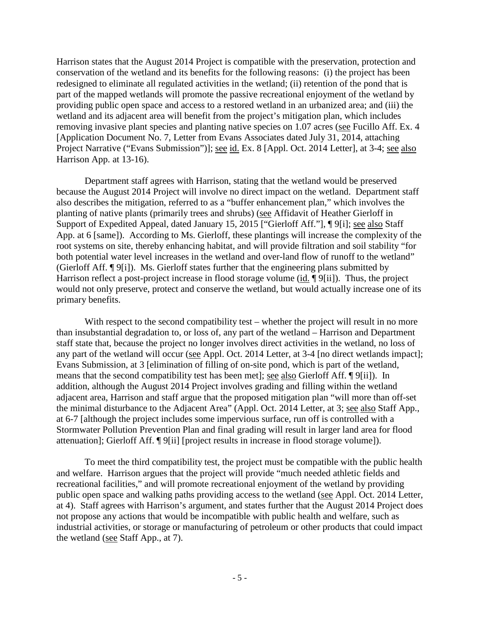Harrison states that the August 2014 Project is compatible with the preservation, protection and conservation of the wetland and its benefits for the following reasons: (i) the project has been redesigned to eliminate all regulated activities in the wetland; (ii) retention of the pond that is part of the mapped wetlands will promote the passive recreational enjoyment of the wetland by providing public open space and access to a restored wetland in an urbanized area; and (iii) the wetland and its adjacent area will benefit from the project's mitigation plan, which includes removing invasive plant species and planting native species on 1.07 acres (see Fucillo Aff. Ex. 4 [Application Document No. 7, Letter from Evans Associates dated July 31, 2014, attaching Project Narrative ("Evans Submission")]; see id. Ex. 8 [Appl. Oct. 2014 Letter], at 3-4; see also Harrison App. at 13-16).

Department staff agrees with Harrison, stating that the wetland would be preserved because the August 2014 Project will involve no direct impact on the wetland. Department staff also describes the mitigation, referred to as a "buffer enhancement plan," which involves the planting of native plants (primarily trees and shrubs) (see Affidavit of Heather Gierloff in Support of Expedited Appeal, dated January 15, 2015 ["Gierloff Aff."], [9[i]; see also Staff App. at 6 [same]). According to Ms. Gierloff, these plantings will increase the complexity of the root systems on site, thereby enhancing habitat, and will provide filtration and soil stability "for both potential water level increases in the wetland and over-land flow of runoff to the wetland" (Gierloff Aff. ¶ 9[i]). Ms. Gierloff states further that the engineering plans submitted by Harrison reflect a post-project increase in flood storage volume (id. ¶ 9[ii]). Thus, the project would not only preserve, protect and conserve the wetland, but would actually increase one of its primary benefits.

With respect to the second compatibility test – whether the project will result in no more than insubstantial degradation to, or loss of, any part of the wetland – Harrison and Department staff state that, because the project no longer involves direct activities in the wetland, no loss of any part of the wetland will occur (see Appl. Oct. 2014 Letter, at 3-4 [no direct wetlands impact]; Evans Submission, at 3 [elimination of filling of on-site pond, which is part of the wetland, means that the second compatibility test has been met]; see also Gierloff Aff. ¶ 9[ii]). In addition, although the August 2014 Project involves grading and filling within the wetland adjacent area, Harrison and staff argue that the proposed mitigation plan "will more than off-set the minimal disturbance to the Adjacent Area" (Appl. Oct. 2014 Letter, at 3; see also Staff App., at 6-7 [although the project includes some impervious surface, run off is controlled with a Stormwater Pollution Prevention Plan and final grading will result in larger land area for flood attenuation]; Gierloff Aff. ¶ 9[ii] [project results in increase in flood storage volume]).

To meet the third compatibility test, the project must be compatible with the public health and welfare. Harrison argues that the project will provide "much needed athletic fields and recreational facilities," and will promote recreational enjoyment of the wetland by providing public open space and walking paths providing access to the wetland (see Appl. Oct. 2014 Letter, at 4). Staff agrees with Harrison's argument, and states further that the August 2014 Project does not propose any actions that would be incompatible with public health and welfare, such as industrial activities, or storage or manufacturing of petroleum or other products that could impact the wetland (see Staff App., at 7).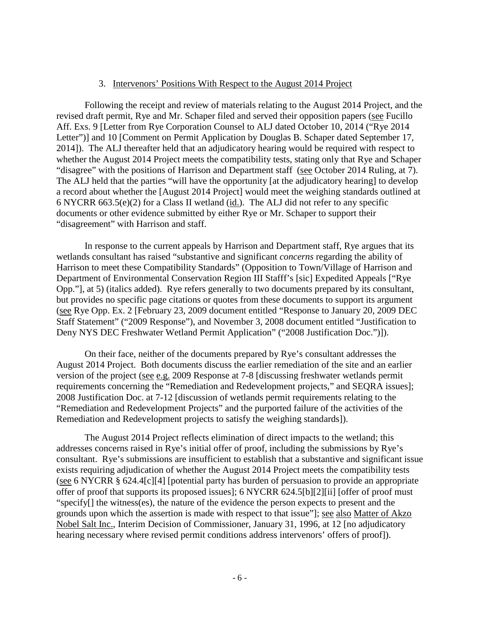#### 3. Intervenors' Positions With Respect to the August 2014 Project

Following the receipt and review of materials relating to the August 2014 Project, and the revised draft permit, Rye and Mr. Schaper filed and served their opposition papers (see Fucillo Aff. Exs. 9 [Letter from Rye Corporation Counsel to ALJ dated October 10, 2014 ("Rye 2014 Letter")] and 10 [Comment on Permit Application by Douglas B. Schaper dated September 17, 2014]). The ALJ thereafter held that an adjudicatory hearing would be required with respect to whether the August 2014 Project meets the compatibility tests, stating only that Rye and Schaper "disagree" with the positions of Harrison and Department staff (see October 2014 Ruling, at 7). The ALJ held that the parties "will have the opportunity [at the adjudicatory hearing] to develop a record about whether the [August 2014 Project] would meet the weighing standards outlined at 6 NYCRR 663.5(e)(2) for a Class II wetland (id.). The ALJ did not refer to any specific documents or other evidence submitted by either Rye or Mr. Schaper to support their "disagreement" with Harrison and staff.

In response to the current appeals by Harrison and Department staff, Rye argues that its wetlands consultant has raised "substantive and significant *concerns* regarding the ability of Harrison to meet these Compatibility Standards" (Opposition to Town/Village of Harrison and Department of Environmental Conservation Region III Stafff's [sic] Expedited Appeals ["Rye Opp."], at 5) (italics added). Rye refers generally to two documents prepared by its consultant, but provides no specific page citations or quotes from these documents to support its argument (see Rye Opp. Ex. 2 [February 23, 2009 document entitled "Response to January 20, 2009 DEC Staff Statement" ("2009 Response"), and November 3, 2008 document entitled "Justification to Deny NYS DEC Freshwater Wetland Permit Application" ("2008 Justification Doc.")]).

On their face, neither of the documents prepared by Rye's consultant addresses the August 2014 Project. Both documents discuss the earlier remediation of the site and an earlier version of the project (see e.g. 2009 Response at 7-8 [discussing freshwater wetlands permit requirements concerning the "Remediation and Redevelopment projects," and SEQRA issues]; 2008 Justification Doc. at 7-12 [discussion of wetlands permit requirements relating to the "Remediation and Redevelopment Projects" and the purported failure of the activities of the Remediation and Redevelopment projects to satisfy the weighing standards]).

The August 2014 Project reflects elimination of direct impacts to the wetland; this addresses concerns raised in Rye's initial offer of proof, including the submissions by Rye's consultant. Rye's submissions are insufficient to establish that a substantive and significant issue exists requiring adjudication of whether the August 2014 Project meets the compatibility tests (see 6 NYCRR § 624.4[c][4] [potential party has burden of persuasion to provide an appropriate offer of proof that supports its proposed issues]; 6 NYCRR 624.5[b][2][ii] [offer of proof must "specify[] the witness(es), the nature of the evidence the person expects to present and the grounds upon which the assertion is made with respect to that issue"]; see also Matter of Akzo Nobel Salt Inc., Interim Decision of Commissioner, January 31, 1996, at 12 [no adjudicatory hearing necessary where revised permit conditions address intervenors' offers of proof]).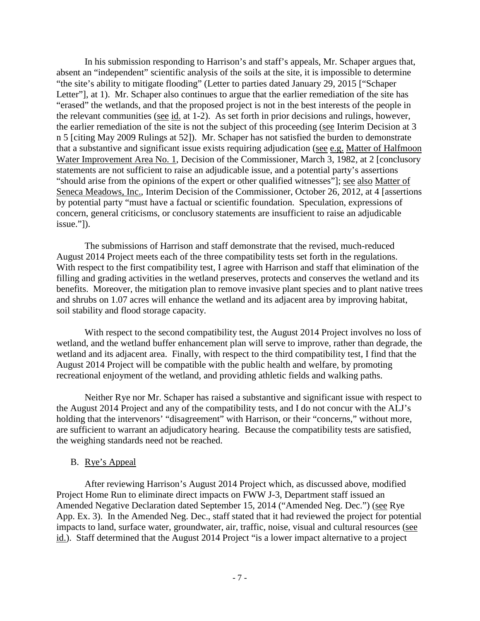In his submission responding to Harrison's and staff's appeals, Mr. Schaper argues that, absent an "independent" scientific analysis of the soils at the site, it is impossible to determine "the site's ability to mitigate flooding" (Letter to parties dated January 29, 2015 ["Schaper Letter"], at 1). Mr. Schaper also continues to argue that the earlier remediation of the site has "erased" the wetlands, and that the proposed project is not in the best interests of the people in the relevant communities (see id. at 1-2). As set forth in prior decisions and rulings, however, the earlier remediation of the site is not the subject of this proceeding (see Interim Decision at 3 n 5 [citing May 2009 Rulings at 52]). Mr. Schaper has not satisfied the burden to demonstrate that a substantive and significant issue exists requiring adjudication (see e.g. Matter of Halfmoon Water Improvement Area No. 1, Decision of the Commissioner, March 3, 1982, at 2 [conclusory statements are not sufficient to raise an adjudicable issue, and a potential party's assertions "should arise from the opinions of the expert or other qualified witnesses"]; see also Matter of Seneca Meadows, Inc., Interim Decision of the Commissioner, October 26, 2012, at 4 [assertions by potential party "must have a factual or scientific foundation. Speculation, expressions of concern, general criticisms, or conclusory statements are insufficient to raise an adjudicable issue."]).

The submissions of Harrison and staff demonstrate that the revised, much-reduced August 2014 Project meets each of the three compatibility tests set forth in the regulations. With respect to the first compatibility test, I agree with Harrison and staff that elimination of the filling and grading activities in the wetland preserves, protects and conserves the wetland and its benefits. Moreover, the mitigation plan to remove invasive plant species and to plant native trees and shrubs on 1.07 acres will enhance the wetland and its adjacent area by improving habitat, soil stability and flood storage capacity.

With respect to the second compatibility test, the August 2014 Project involves no loss of wetland, and the wetland buffer enhancement plan will serve to improve, rather than degrade, the wetland and its adjacent area. Finally, with respect to the third compatibility test, I find that the August 2014 Project will be compatible with the public health and welfare, by promoting recreational enjoyment of the wetland, and providing athletic fields and walking paths.

Neither Rye nor Mr. Schaper has raised a substantive and significant issue with respect to the August 2014 Project and any of the compatibility tests, and I do not concur with the ALJ's holding that the intervenors' "disagreement" with Harrison, or their "concerns," without more, are sufficient to warrant an adjudicatory hearing. Because the compatibility tests are satisfied, the weighing standards need not be reached.

### B. Rye's Appeal

After reviewing Harrison's August 2014 Project which, as discussed above, modified Project Home Run to eliminate direct impacts on FWW J-3, Department staff issued an Amended Negative Declaration dated September 15, 2014 ("Amended Neg. Dec.") (see Rye App. Ex. 3). In the Amended Neg. Dec., staff stated that it had reviewed the project for potential impacts to land, surface water, groundwater, air, traffic, noise, visual and cultural resources (see id.). Staff determined that the August 2014 Project "is a lower impact alternative to a project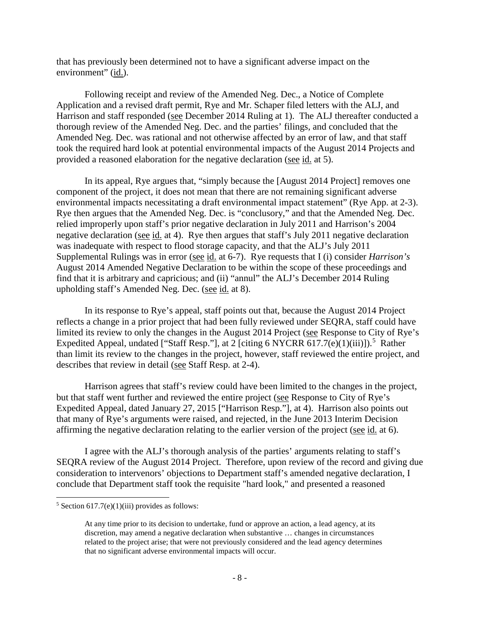that has previously been determined not to have a significant adverse impact on the environment" (id.).

Following receipt and review of the Amended Neg. Dec., a Notice of Complete Application and a revised draft permit, Rye and Mr. Schaper filed letters with the ALJ, and Harrison and staff responded (see December 2014 Ruling at 1). The ALJ thereafter conducted a thorough review of the Amended Neg. Dec. and the parties' filings, and concluded that the Amended Neg. Dec. was rational and not otherwise affected by an error of law, and that staff took the required hard look at potential environmental impacts of the August 2014 Projects and provided a reasoned elaboration for the negative declaration (see id. at 5).

In its appeal, Rye argues that, "simply because the [August 2014 Project] removes one component of the project, it does not mean that there are not remaining significant adverse environmental impacts necessitating a draft environmental impact statement" (Rye App. at 2-3). Rye then argues that the Amended Neg. Dec. is "conclusory," and that the Amended Neg. Dec. relied improperly upon staff's prior negative declaration in July 2011 and Harrison's 2004 negative declaration (see id. at 4). Rye then argues that staff's July 2011 negative declaration was inadequate with respect to flood storage capacity, and that the ALJ's July 2011 Supplemental Rulings was in error (see id. at 6-7). Rye requests that I (i) consider *Harrison's* August 2014 Amended Negative Declaration to be within the scope of these proceedings and find that it is arbitrary and capricious; and (ii) "annul" the ALJ's December 2014 Ruling upholding staff's Amended Neg. Dec. (see id. at 8).

In its response to Rye's appeal, staff points out that, because the August 2014 Project reflects a change in a prior project that had been fully reviewed under SEQRA, staff could have limited its review to only the changes in the August 2014 Project (see Response to City of Rye's Expedited Appeal, undated ["Staff Resp."], at 2 [citing 6 NYCRR 617.7(e)(1)(iii)]).<sup>[5](#page-8-0)</sup> Rather than limit its review to the changes in the project, however, staff reviewed the entire project, and describes that review in detail (see Staff Resp. at 2-4).

Harrison agrees that staff's review could have been limited to the changes in the project, but that staff went further and reviewed the entire project (see Response to City of Rye's Expedited Appeal, dated January 27, 2015 ["Harrison Resp."], at 4). Harrison also points out that many of Rye's arguments were raised, and rejected, in the June 2013 Interim Decision affirming the negative declaration relating to the earlier version of the project (see id. at 6).

I agree with the ALJ's thorough analysis of the parties' arguments relating to staff's SEQRA review of the August 2014 Project. Therefore, upon review of the record and giving due consideration to intervenors' objections to Department staff's amended negative declaration, I conclude that Department staff took the requisite "hard look," and presented a reasoned

 $\ddot{\phantom{a}}$ 

<span id="page-8-0"></span> $5$  Section 617.7(e)(1)(iii) provides as follows:

At any time prior to its decision to undertake, fund or approve an action, a lead agency, at its discretion, may amend a negative declaration when substantive … changes in circumstances related to the project arise; that were not previously considered and the lead agency determines that no significant adverse environmental impacts will occur.